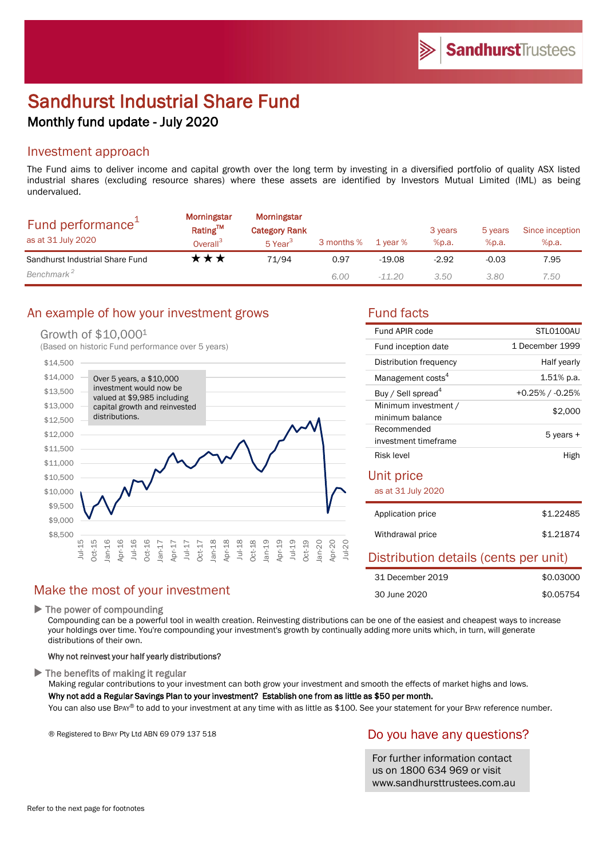# Sandhurst Industrial Share Fund Monthly fund update - July 2020

# Investment approach

The Fund aims to deliver income and capital growth over the long term by investing in a diversified portfolio of quality ASX listed industrial shares (excluding resource shares) where these assets are identified by Investors Mutual Limited (IML) as being undervalued.

| Fund performance <sup>+</sup><br>as at 31 July 2020 | Morningstar<br>Rating™<br>Overall <sup>3</sup> | Morningstar<br><b>Category Rank</b><br>5 Year <sup>3</sup> | 3 months % | 1 year % | 3 years<br>%p.a. | 5 years<br>%p.a. | Since inception<br>%p.a. |
|-----------------------------------------------------|------------------------------------------------|------------------------------------------------------------|------------|----------|------------------|------------------|--------------------------|
| Sandhurst Industrial Share Fund                     | ་★★                                            | 71/94                                                      | 0.97       | $-19.08$ | $-2.92$          | $-0.03$          | 7.95                     |
| Benchmark <sup>2</sup>                              |                                                |                                                            | 6.00       | $-11.20$ | 3.50             | 3.80             | 7.50                     |

# An example of how your investment grows Fund facts

#### Growth of \$10,0001

(Based on historic Fund performance over 5 years)



# Make the most of your investment

▶ The power of compounding

Compounding can be a powerful tool in wealth creation. Reinvesting distributions can be one of the easiest and cheapest ways to increase your holdings over time. You're compounding your investment's growth by continually adding more units which, in turn, will generate distributions of their own.

#### Why not reinvest your half yearly distributions?

 $\blacktriangleright$  The benefits of making it regular

Making regular contributions to your investment can both grow your investment and smooth the effects of market highs and lows.

### Why not add a Regular Savings Plan to your investment? Establish one from as little as \$50 per month.

You can also use BPAY® to add to your investment at any time with as little as \$100. See your statement for your BPAY reference number.

® Registered to BPAY Pty Ltd ABN 69 079 137 518

# Do you have any questions?

For further information contact us on 1800 634 969 or visit www.sandhursttrustees.com.au

| Fund APIR code                          | STI 0100AU      |
|-----------------------------------------|-----------------|
| Fund inception date                     | 1 December 1999 |
| Distribution frequency                  | Half yearly     |
| Management costs <sup>4</sup>           | $1.51\%$ p.a.   |
| Buy / Sell spread <sup>4</sup>          | +0.25% / -0.25% |
| Minimum investment /<br>minimum balance | \$2,000         |
| Recommended<br>investment timeframe     | 5 years +       |
| Risk level                              | High            |

## Unit price

as at 31 July 2020

| Application price | \$1,22485 |
|-------------------|-----------|
| Withdrawal price  | \$1,21874 |

# Distribution details (cents per unit)

| 31 December 2019 | \$0.03000 |
|------------------|-----------|
| 30 June 2020     | \$0.05754 |